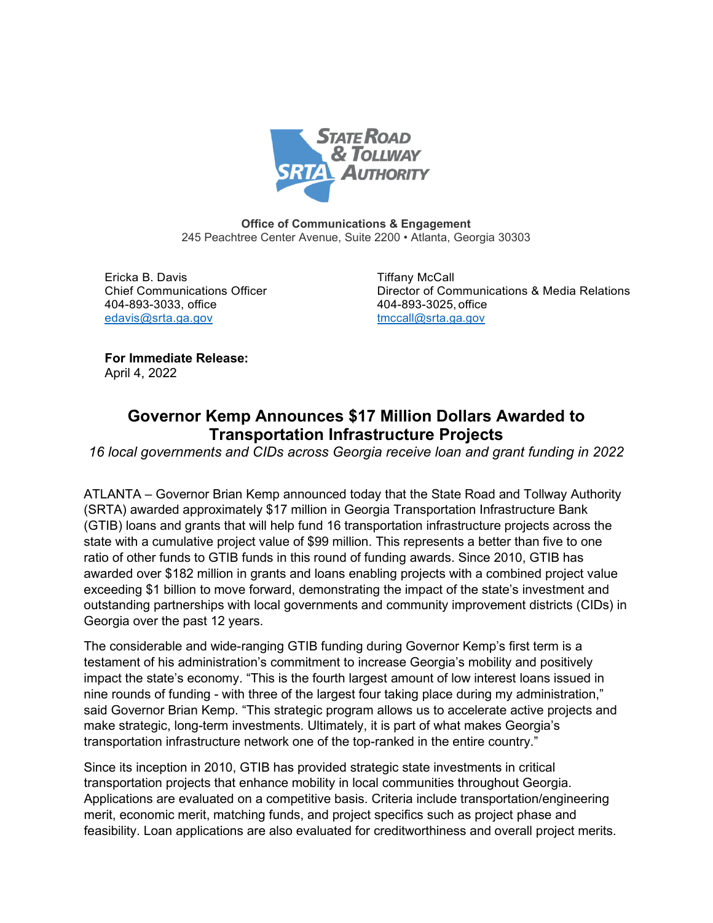

**Office of Communications & Engagement** 245 Peachtree Center Avenue, Suite 2200 • Atlanta, Georgia 30303

Ericka B. Davis Tiffany McCall 404-893-3033, office 404-893-3025, office [edavis@srta.ga.gov](mailto:edavis@srta.ga.gov) [tmccall@srta.ga.gov](mailto:tmccall@srta.ga.gov)

Chief Communications Officer Director of Communications & Media Relations

**For Immediate Release:** April 4, 2022

# **Governor Kemp Announces \$17 Million Dollars Awarded to Transportation Infrastructure Projects**

*16 local governments and CIDs across Georgia receive loan and grant funding in 2022* 

ATLANTA – Governor Brian Kemp announced today that the State Road and Tollway Authority (SRTA) awarded approximately \$17 million in Georgia Transportation Infrastructure Bank (GTIB) loans and grants that will help fund 16 transportation infrastructure projects across the state with a cumulative project value of \$99 million. This represents a better than five to one ratio of other funds to GTIB funds in this round of funding awards. Since 2010, GTIB has awarded over \$182 million in grants and loans enabling projects with a combined project value exceeding \$1 billion to move forward, demonstrating the impact of the state's investment and outstanding partnerships with local governments and community improvement districts (CIDs) in Georgia over the past 12 years.

The considerable and wide-ranging GTIB funding during Governor Kemp's first term is a testament of his administration's commitment to increase Georgia's mobility and positively impact the state's economy. "This is the fourth largest amount of low interest loans issued in nine rounds of funding - with three of the largest four taking place during my administration," said Governor Brian Kemp. "This strategic program allows us to accelerate active projects and make strategic, long-term investments. Ultimately, it is part of what makes Georgia's transportation infrastructure network one of the top-ranked in the entire country."

Since its inception in 2010, GTIB has provided strategic state investments in critical transportation projects that enhance mobility in local communities throughout Georgia. Applications are evaluated on a competitive basis. Criteria include transportation/engineering merit, economic merit, matching funds, and project specifics such as project phase and feasibility. Loan applications are also evaluated for creditworthiness and overall project merits.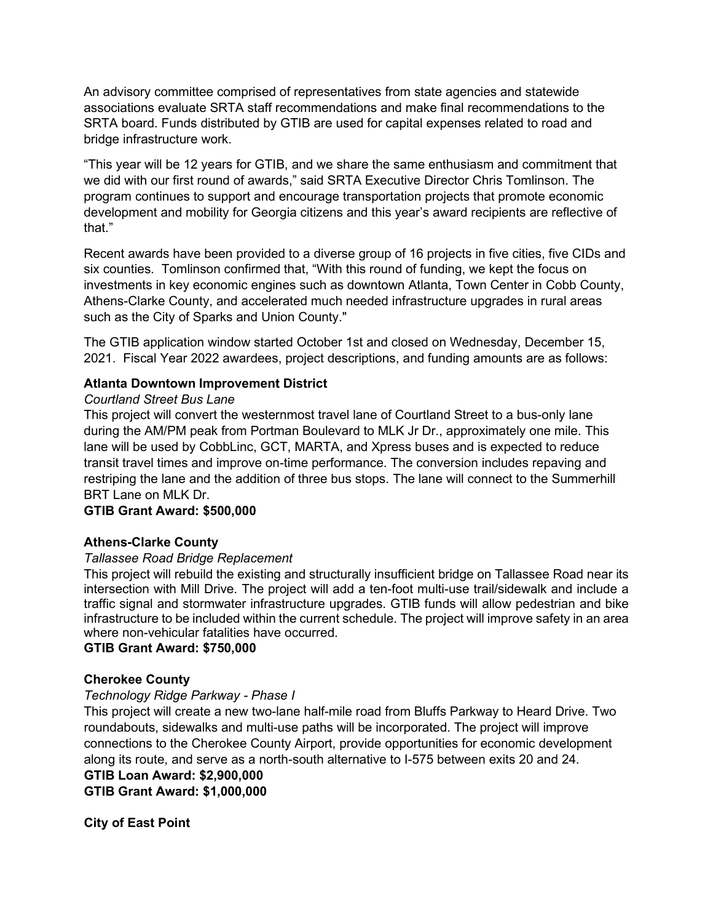An advisory committee comprised of representatives from state agencies and statewide associations evaluate SRTA staff recommendations and make final recommendations to the SRTA board. Funds distributed by GTIB are used for capital expenses related to road and bridge infrastructure work.

"This year will be 12 years for GTIB, and we share the same enthusiasm and commitment that we did with our first round of awards," said SRTA Executive Director Chris Tomlinson. The program continues to support and encourage transportation projects that promote economic development and mobility for Georgia citizens and this year's award recipients are reflective of that."

Recent awards have been provided to a diverse group of 16 projects in five cities, five CIDs and six counties. Tomlinson confirmed that, "With this round of funding, we kept the focus on investments in key economic engines such as downtown Atlanta, Town Center in Cobb County, Athens-Clarke County, and accelerated much needed infrastructure upgrades in rural areas such as the City of Sparks and Union County."

The GTIB application window started October 1st and closed on Wednesday, December 15, 2021. Fiscal Year 2022 awardees, project descriptions, and funding amounts are as follows:

# **Atlanta Downtown Improvement District**

# *Courtland Street Bus Lane*

This project will convert the westernmost travel lane of Courtland Street to a bus-only lane during the AM/PM peak from Portman Boulevard to MLK Jr Dr., approximately one mile. This lane will be used by CobbLinc, GCT, MARTA, and Xpress buses and is expected to reduce transit travel times and improve on-time performance. The conversion includes repaving and restriping the lane and the addition of three bus stops. The lane will connect to the Summerhill BRT Lane on MLK Dr.

## **GTIB Grant Award: \$500,000**

# **Athens-Clarke County**

## *Tallassee Road Bridge Replacement*

This project will rebuild the existing and structurally insufficient bridge on Tallassee Road near its intersection with Mill Drive. The project will add a ten-foot multi-use trail/sidewalk and include a traffic signal and stormwater infrastructure upgrades. GTIB funds will allow pedestrian and bike infrastructure to be included within the current schedule. The project will improve safety in an area where non-vehicular fatalities have occurred.

## **GTIB Grant Award: \$750,000**

# **Cherokee County**

## *Technology Ridge Parkway - Phase I*

This project will create a new two-lane half-mile road from Bluffs Parkway to Heard Drive. Two roundabouts, sidewalks and multi-use paths will be incorporated. The project will improve connections to the Cherokee County Airport, provide opportunities for economic development along its route, and serve as a north-south alternative to I-575 between exits 20 and 24.

**GTIB Loan Award: \$2,900,000 GTIB Grant Award: \$1,000,000**

**City of East Point**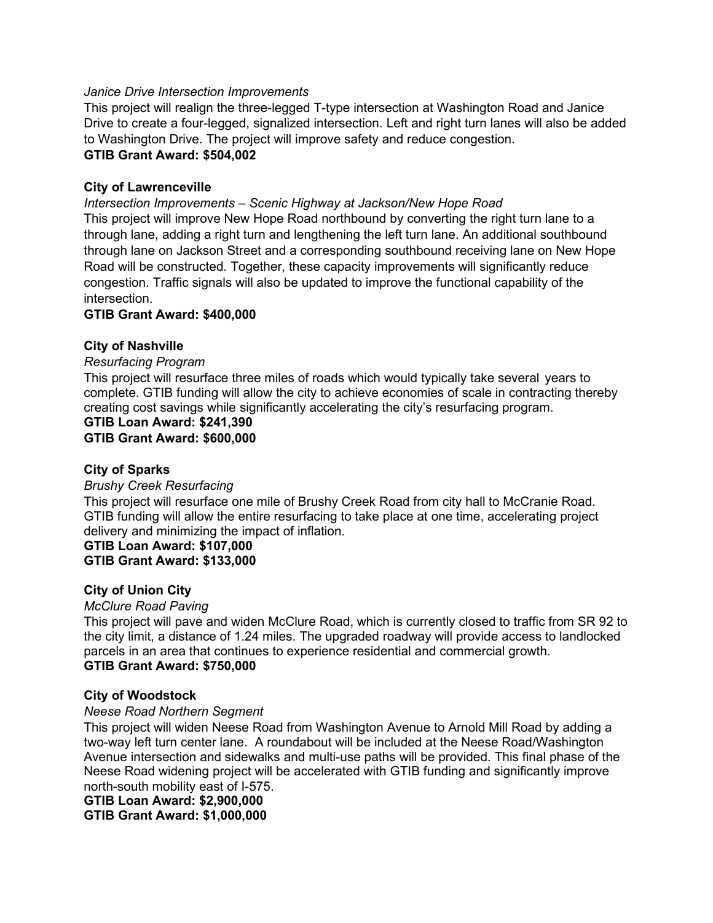#### *Janice Drive Intersection Improvements*

This project will realign the three-legged T-type intersection at Washington Road and Janice Drive to create a four-legged, signalized intersection. Left and right turn lanes will also be added to Washington Drive. The project will improve safety and reduce congestion. **GTIB Grant Award: \$504,002**

## **City of Lawrenceville**

*Intersection Improvements – Scenic Highway at Jackson/New Hope Road*

This project will improve New Hope Road northbound by converting the right turn lane to a through lane, adding a right turn and lengthening the left turn lane. An additional southbound through lane on Jackson Street and a corresponding southbound receiving lane on New Hope Road will be constructed. Together, these capacity improvements will significantly reduce congestion. Traffic signals will also be updated to improve the functional capability of the intersection.

#### **GTIB Grant Award: \$400,000**

#### **City of Nashville**

#### *Resurfacing Program*

This project will resurface three miles of roads which would typically take several years to complete. GTIB funding will allow the city to achieve economies of scale in contracting thereby creating cost savings while significantly accelerating the city's resurfacing program.

#### **GTIB Loan Award: \$241,390 GTIB Grant Award: \$600,000**

## **City of Sparks**

#### *Brushy Creek Resurfacing*

This project will resurface one mile of Brushy Creek Road from city hall to McCranie Road. GTIB funding will allow the entire resurfacing to take place at one time, accelerating project delivery and minimizing the impact of inflation.

#### **GTIB Loan Award: \$107,000 GTIB Grant Award: \$133,000**

#### **City of Union City**

#### *McClure Road Paving*

This project will pave and widen McClure Road, which is currently closed to traffic from SR 92 to the city limit, a distance of 1.24 miles. The upgraded roadway will provide access to landlocked parcels in an area that continues to experience residential and commercial growth. **GTIB Grant Award: \$750,000**

#### **City of Woodstock**

#### *Neese Road Northern Segment*

This project will widen Neese Road from Washington Avenue to Arnold Mill Road by adding a two-way left turn center lane. A roundabout will be included at the Neese Road/Washington Avenue intersection and sidewalks and multi-use paths will be provided. This final phase of the Neese Road widening project will be accelerated with GTIB funding and significantly improve north-south mobility east of I-575.

#### **GTIB Loan Award: \$2,900,000**

**GTIB Grant Award: \$1,000,000**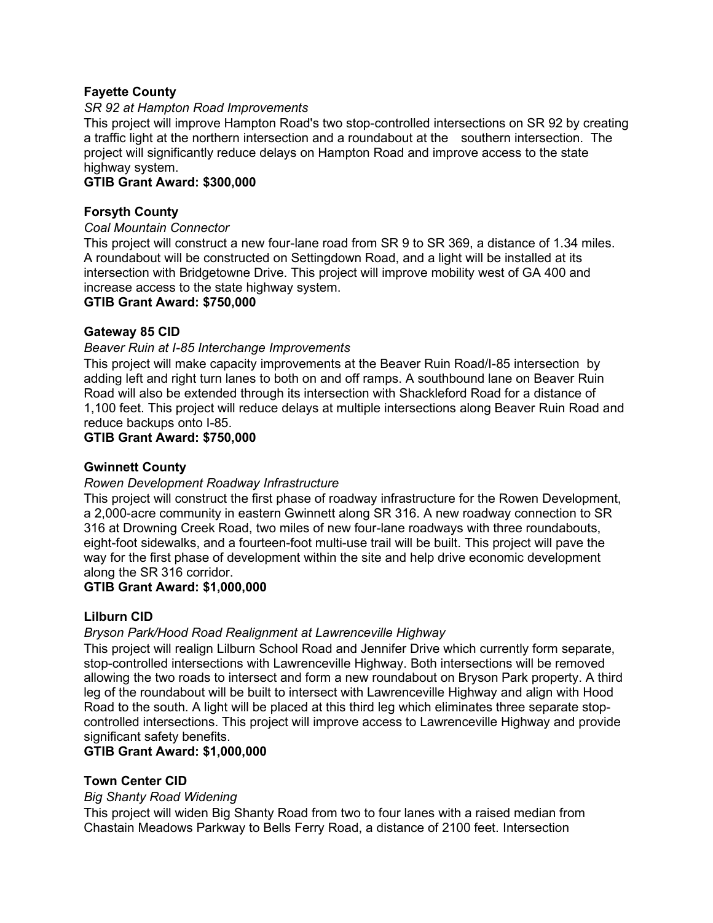# **Fayette County**

## *SR 92 at Hampton Road Improvements*

This project will improve Hampton Road's two stop-controlled intersections on SR 92 by creating a traffic light at the northern intersection and a roundabout at the southern intersection. The project will significantly reduce delays on Hampton Road and improve access to the state highway system.

#### **GTIB Grant Award: \$300,000**

#### **Forsyth County**

#### *Coal Mountain Connector*

This project will construct a new four-lane road from SR 9 to SR 369, a distance of 1.34 miles. A roundabout will be constructed on Settingdown Road, and a light will be installed at its intersection with Bridgetowne Drive. This project will improve mobility west of GA 400 and increase access to the state highway system.

#### **GTIB Grant Award: \$750,000**

#### **Gateway 85 CID**

#### *Beaver Ruin at I-85 Interchange Improvements*

This project will make capacity improvements at the Beaver Ruin Road/I-85 intersection by adding left and right turn lanes to both on and off ramps. A southbound lane on Beaver Ruin Road will also be extended through its intersection with Shackleford Road for a distance of 1,100 feet. This project will reduce delays at multiple intersections along Beaver Ruin Road and reduce backups onto I-85.

#### **GTIB Grant Award: \$750,000**

## **Gwinnett County**

## *Rowen Development Roadway Infrastructure*

This project will construct the first phase of roadway infrastructure for the Rowen Development, a 2,000-acre community in eastern Gwinnett along SR 316. A new roadway connection to SR 316 at Drowning Creek Road, two miles of new four-lane roadways with three roundabouts, eight-foot sidewalks, and a fourteen-foot multi-use trail will be built. This project will pave the way for the first phase of development within the site and help drive economic development along the SR 316 corridor.

## **GTIB Grant Award: \$1,000,000**

## **Lilburn CID**

## *Bryson Park/Hood Road Realignment at Lawrenceville Highway*

This project will realign Lilburn School Road and Jennifer Drive which currently form separate, stop-controlled intersections with Lawrenceville Highway. Both intersections will be removed allowing the two roads to intersect and form a new roundabout on Bryson Park property. A third leg of the roundabout will be built to intersect with Lawrenceville Highway and align with Hood Road to the south. A light will be placed at this third leg which eliminates three separate stopcontrolled intersections. This project will improve access to Lawrenceville Highway and provide significant safety benefits.

## **GTIB Grant Award: \$1,000,000**

## **Town Center CID**

#### *Big Shanty Road Widening*

This project will widen Big Shanty Road from two to four lanes with a raised median from Chastain Meadows Parkway to Bells Ferry Road, a distance of 2100 feet. Intersection